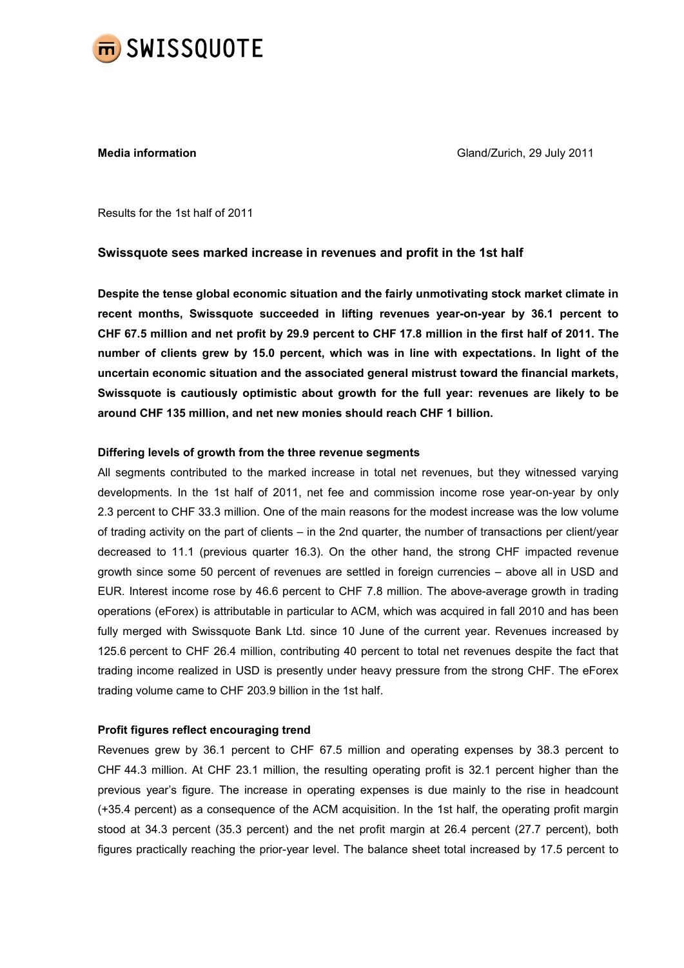

**Media information** Media information Gland/Zurich, 29 July 2011

Results for the 1st half of 2011

# Swissquote sees marked increase in revenues and profit in the 1st half

Despite the tense global economic situation and the fairly unmotivating stock market climate in recent months, Swissquote succeeded in lifting revenues year-on-year by 36.1 percent to CHF 67.5 million and net profit by 29.9 percent to CHF 17.8 million in the first half of 2011. The number of clients grew by 15.0 percent, which was in line with expectations. In light of the uncertain economic situation and the associated general mistrust toward the financial markets, Swissquote is cautiously optimistic about growth for the full year: revenues are likely to be around CHF 135 million, and net new monies should reach CHF 1 billion.

# Differing levels of growth from the three revenue segments

All segments contributed to the marked increase in total net revenues, but they witnessed varying developments. In the 1st half of 2011, net fee and commission income rose year-on-year by only 2.3 percent to CHF 33.3 million. One of the main reasons for the modest increase was the low volume of trading activity on the part of clients – in the 2nd quarter, the number of transactions per client/year decreased to 11.1 (previous quarter 16.3). On the other hand, the strong CHF impacted revenue growth since some 50 percent of revenues are settled in foreign currencies – above all in USD and EUR. Interest income rose by 46.6 percent to CHF 7.8 million. The above-average growth in trading operations (eForex) is attributable in particular to ACM, which was acquired in fall 2010 and has been fully merged with Swissquote Bank Ltd. since 10 June of the current year. Revenues increased by 125.6 percent to CHF 26.4 million, contributing 40 percent to total net revenues despite the fact that trading income realized in USD is presently under heavy pressure from the strong CHF. The eForex trading volume came to CHF 203.9 billion in the 1st half.

# Profit figures reflect encouraging trend

Revenues grew by 36.1 percent to CHF 67.5 million and operating expenses by 38.3 percent to CHF 44.3 million. At CHF 23.1 million, the resulting operating profit is 32.1 percent higher than the previous year's figure. The increase in operating expenses is due mainly to the rise in headcount (+35.4 percent) as a consequence of the ACM acquisition. In the 1st half, the operating profit margin stood at 34.3 percent (35.3 percent) and the net profit margin at 26.4 percent (27.7 percent), both figures practically reaching the prior-year level. The balance sheet total increased by 17.5 percent to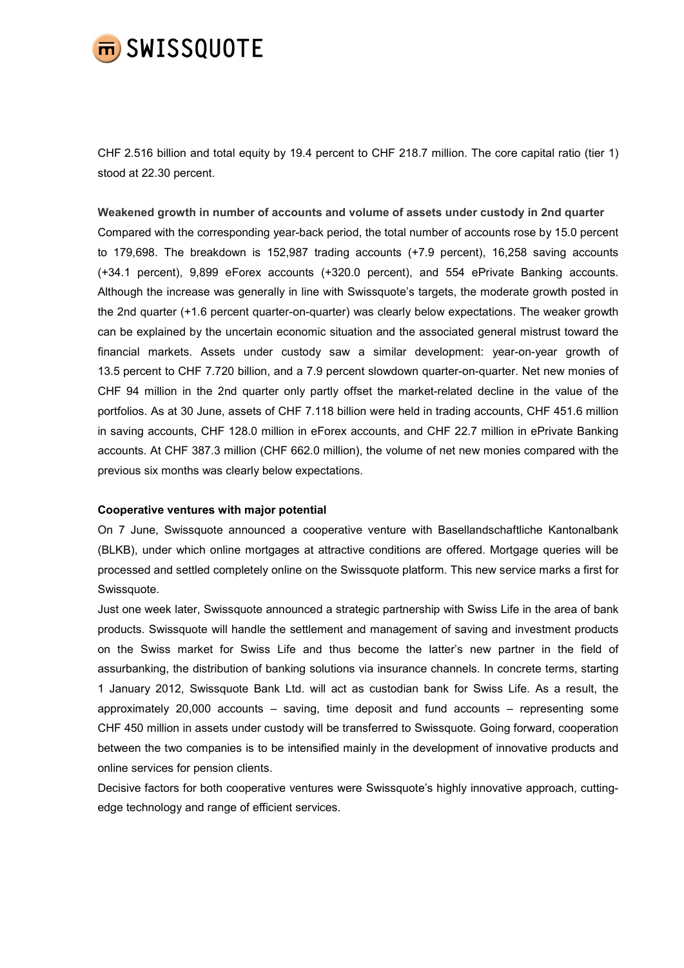

CHF 2.516 billion and total equity by 19.4 percent to CHF 218.7 million. The core capital ratio (tier 1) stood at 22.30 percent.

Weakened growth in number of accounts and volume of assets under custody in 2nd quarter Compared with the corresponding year-back period, the total number of accounts rose by 15.0 percent to 179,698. The breakdown is 152,987 trading accounts (+7.9 percent), 16,258 saving accounts (+34.1 percent), 9,899 eForex accounts (+320.0 percent), and 554 ePrivate Banking accounts. Although the increase was generally in line with Swissquote's targets, the moderate growth posted in the 2nd quarter (+1.6 percent quarter-on-quarter) was clearly below expectations. The weaker growth can be explained by the uncertain economic situation and the associated general mistrust toward the financial markets. Assets under custody saw a similar development: year-on-year growth of 13.5 percent to CHF 7.720 billion, and a 7.9 percent slowdown quarter-on-quarter. Net new monies of CHF 94 million in the 2nd quarter only partly offset the market-related decline in the value of the portfolios. As at 30 June, assets of CHF 7.118 billion were held in trading accounts, CHF 451.6 million in saving accounts, CHF 128.0 million in eForex accounts, and CHF 22.7 million in ePrivate Banking accounts. At CHF 387.3 million (CHF 662.0 million), the volume of net new monies compared with the previous six months was clearly below expectations.

# Cooperative ventures with major potential

On 7 June, Swissquote announced a cooperative venture with Basellandschaftliche Kantonalbank (BLKB), under which online mortgages at attractive conditions are offered. Mortgage queries will be processed and settled completely online on the Swissquote platform. This new service marks a first for Swissquote.

Just one week later, Swissquote announced a strategic partnership with Swiss Life in the area of bank products. Swissquote will handle the settlement and management of saving and investment products on the Swiss market for Swiss Life and thus become the latter's new partner in the field of assurbanking, the distribution of banking solutions via insurance channels. In concrete terms, starting 1 January 2012, Swissquote Bank Ltd. will act as custodian bank for Swiss Life. As a result, the approximately 20,000 accounts – saving, time deposit and fund accounts – representing some CHF 450 million in assets under custody will be transferred to Swissquote. Going forward, cooperation between the two companies is to be intensified mainly in the development of innovative products and online services for pension clients.

Decisive factors for both cooperative ventures were Swissquote's highly innovative approach, cuttingedge technology and range of efficient services.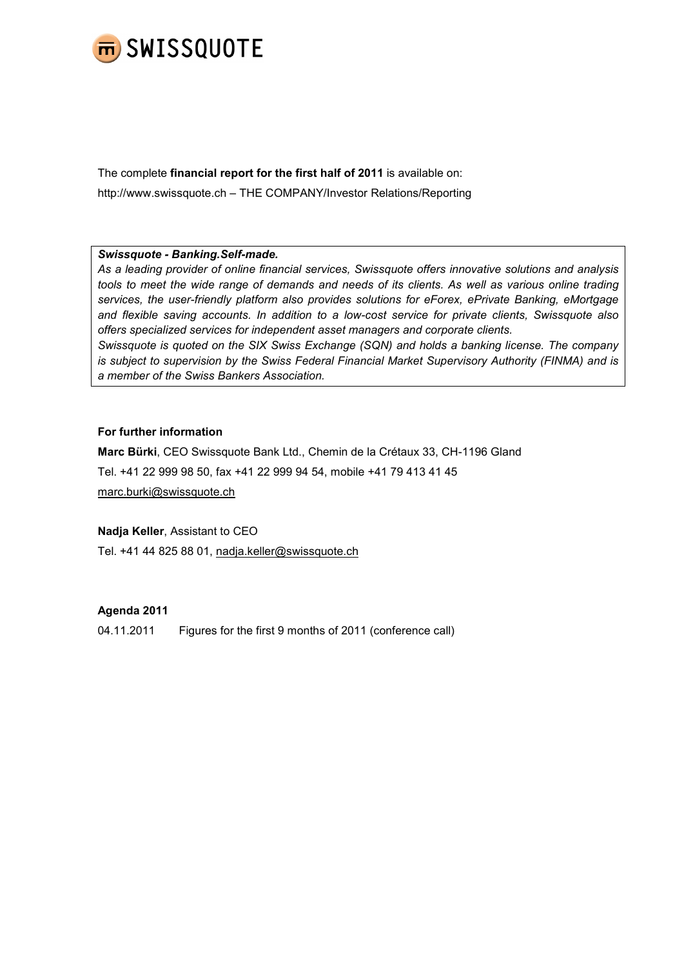

The complete financial report for the first half of 2011 is available on: http://www.swissquote.ch – THE COMPANY/Investor Relations/Reporting

# Swissquote - Banking.Self-made.

As a leading provider of online financial services, Swissquote offers innovative solutions and analysis tools to meet the wide range of demands and needs of its clients. As well as various online trading services, the user-friendly platform also provides solutions for eForex, ePrivate Banking, eMortgage and flexible saving accounts. In addition to a low-cost service for private clients, Swissquote also offers specialized services for independent asset managers and corporate clients.

Swissquote is quoted on the SIX Swiss Exchange (SQN) and holds a banking license. The company is subject to supervision by the Swiss Federal Financial Market Supervisory Authority (FINMA) and is a member of the Swiss Bankers Association.

# For further information

Marc Bürki, CEO Swissquote Bank Ltd., Chemin de la Crétaux 33, CH-1196 Gland Tel. +41 22 999 98 50, fax +41 22 999 94 54, mobile +41 79 413 41 45 marc.burki@swissquote.ch

# Nadja Keller, Assistant to CEO

Tel. +41 44 825 88 01, nadja.keller@swissquote.ch

# Agenda 2011

04.11.2011 Figures for the first 9 months of 2011 (conference call)